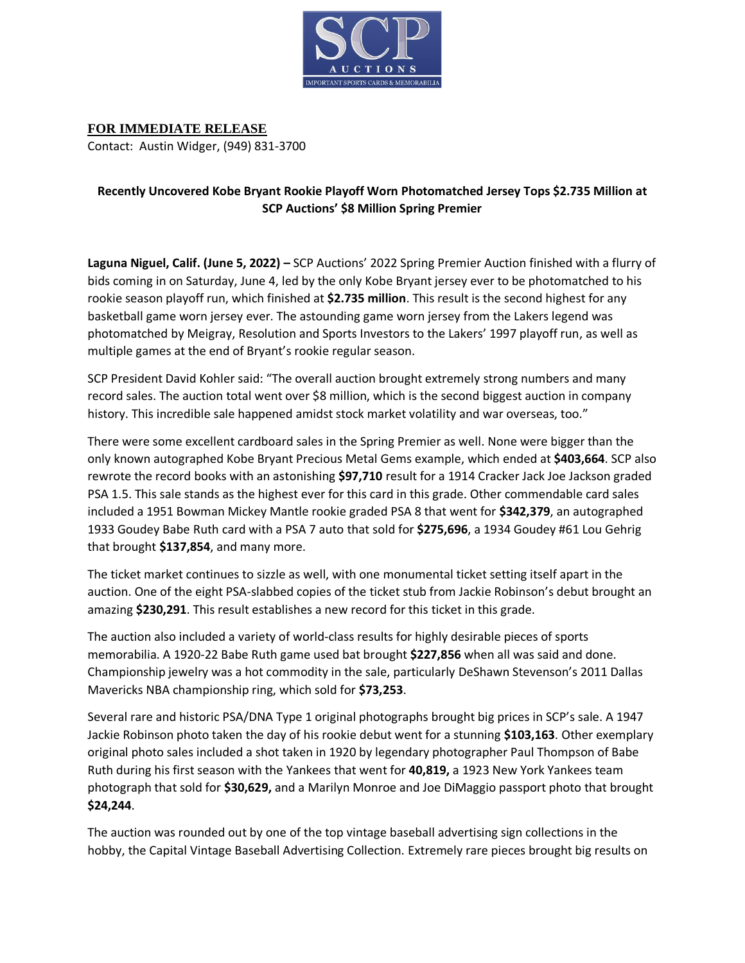

**FOR IMMEDIATE RELEASE** Contact: Austin Widger, (949) 831-3700

## **Recently Uncovered Kobe Bryant Rookie Playoff Worn Photomatched Jersey Tops \$2.735 Million at SCP Auctions' \$8 Million Spring Premier**

**Laguna Niguel, Calif. (June 5, 2022) –** SCP Auctions' 2022 Spring Premier Auction finished with a flurry of bids coming in on Saturday, June 4, led by the only Kobe Bryant jersey ever to be photomatched to his rookie season playoff run, which finished at **\$2.735 million**. This result is the second highest for any basketball game worn jersey ever. The astounding game worn jersey from the Lakers legend was photomatched by Meigray, Resolution and Sports Investors to the Lakers' 1997 playoff run, as well as multiple games at the end of Bryant's rookie regular season.

SCP President David Kohler said: "The overall auction brought extremely strong numbers and many record sales. The auction total went over \$8 million, which is the second biggest auction in company history. This incredible sale happened amidst stock market volatility and war overseas, too."

There were some excellent cardboard sales in the Spring Premier as well. None were bigger than the only known autographed Kobe Bryant Precious Metal Gems example, which ended at **\$403,664**. SCP also rewrote the record books with an astonishing **\$97,710** result for a 1914 Cracker Jack Joe Jackson graded PSA 1.5. This sale stands as the highest ever for this card in this grade. Other commendable card sales included a 1951 Bowman Mickey Mantle rookie graded PSA 8 that went for **\$342,379**, an autographed 1933 Goudey Babe Ruth card with a PSA 7 auto that sold for **\$275,696**, a 1934 Goudey #61 Lou Gehrig that brought **\$137,854**, and many more.

The ticket market continues to sizzle as well, with one monumental ticket setting itself apart in the auction. One of the eight PSA-slabbed copies of the ticket stub from Jackie Robinson's debut brought an amazing **\$230,291**. This result establishes a new record for this ticket in this grade.

The auction also included a variety of world-class results for highly desirable pieces of sports memorabilia. A 1920-22 Babe Ruth game used bat brought **\$227,856** when all was said and done. Championship jewelry was a hot commodity in the sale, particularly DeShawn Stevenson's 2011 Dallas Mavericks NBA championship ring, which sold for **\$73,253**.

Several rare and historic PSA/DNA Type 1 original photographs brought big prices in SCP's sale. A 1947 Jackie Robinson photo taken the day of his rookie debut went for a stunning **\$103,163**. Other exemplary original photo sales included a shot taken in 1920 by legendary photographer Paul Thompson of Babe Ruth during his first season with the Yankees that went for **40,819,** a 1923 New York Yankees team photograph that sold for **\$30,629,** and a Marilyn Monroe and Joe DiMaggio passport photo that brought **\$24,244**.

The auction was rounded out by one of the top vintage baseball advertising sign collections in the hobby, the Capital Vintage Baseball Advertising Collection. Extremely rare pieces brought big results on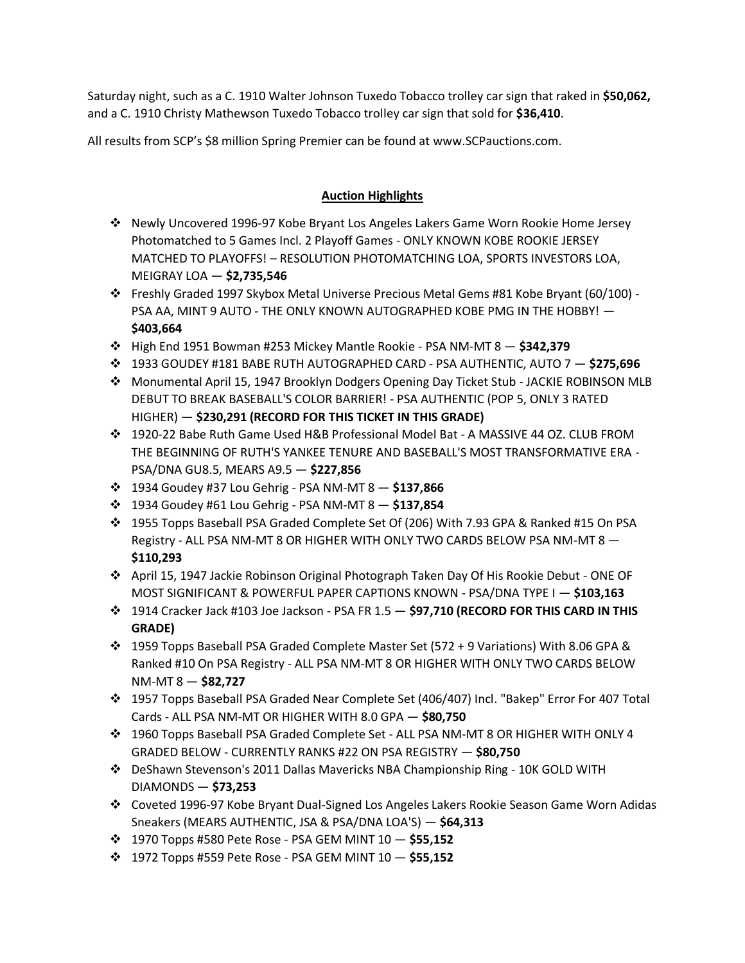Saturday night, such as a C. 1910 Walter Johnson Tuxedo Tobacco trolley car sign that raked in **\$50,062,**  and a C. 1910 Christy Mathewson Tuxedo Tobacco trolley car sign that sold for **\$36,410**.

All results from SCP's \$8 million Spring Premier can be found at www.SCPauctions.com.

## **Auction Highlights**

- ❖ Newly Uncovered 1996-97 Kobe Bryant Los Angeles Lakers Game Worn Rookie Home Jersey Photomatched to 5 Games Incl. 2 Playoff Games - ONLY KNOWN KOBE ROOKIE JERSEY MATCHED TO PLAYOFFS! – RESOLUTION PHOTOMATCHING LOA, SPORTS INVESTORS LOA, MEIGRAY LOA — **\$2,735,546**
- ❖ Freshly Graded 1997 Skybox Metal Universe Precious Metal Gems #81 Kobe Bryant (60/100) PSA AA, MINT 9 AUTO - THE ONLY KNOWN AUTOGRAPHED KOBE PMG IN THE HOBBY! — **\$403,664**
- ❖ High End 1951 Bowman #253 Mickey Mantle Rookie PSA NM-MT 8 **\$342,379**
- ❖ 1933 GOUDEY #181 BABE RUTH AUTOGRAPHED CARD PSA AUTHENTIC, AUTO 7 **\$275,696**
- ❖ Monumental April 15, 1947 Brooklyn Dodgers Opening Day Ticket Stub JACKIE ROBINSON MLB DEBUT TO BREAK BASEBALL'S COLOR BARRIER! - PSA AUTHENTIC (POP 5, ONLY 3 RATED HIGHER) — **\$230,291 (RECORD FOR THIS TICKET IN THIS GRADE)**
- ❖ 1920-22 Babe Ruth Game Used H&B Professional Model Bat A MASSIVE 44 OZ. CLUB FROM THE BEGINNING OF RUTH'S YANKEE TENURE AND BASEBALL'S MOST TRANSFORMATIVE ERA - PSA/DNA GU8.5, MEARS A9.5 — **\$227,856**
- ❖ 1934 Goudey #37 Lou Gehrig PSA NM-MT 8 **\$137,866**
- ❖ 1934 Goudey #61 Lou Gehrig PSA NM-MT 8 **\$137,854**
- ❖ 1955 Topps Baseball PSA Graded Complete Set Of (206) With 7.93 GPA & Ranked #15 On PSA Registry - ALL PSA NM-MT 8 OR HIGHER WITH ONLY TWO CARDS BELOW PSA NM-MT 8 — **\$110,293**
- ❖ April 15, 1947 Jackie Robinson Original Photograph Taken Day Of His Rookie Debut ONE OF MOST SIGNIFICANT & POWERFUL PAPER CAPTIONS KNOWN - PSA/DNA TYPE I — **\$103,163**
- ❖ 1914 Cracker Jack #103 Joe Jackson PSA FR 1.5 **\$97,710 (RECORD FOR THIS CARD IN THIS GRADE)**
- ❖ 1959 Topps Baseball PSA Graded Complete Master Set (572 + 9 Variations) With 8.06 GPA & Ranked #10 On PSA Registry - ALL PSA NM-MT 8 OR HIGHER WITH ONLY TWO CARDS BELOW NM-MT 8 — **\$82,727**
- ❖ 1957 Topps Baseball PSA Graded Near Complete Set (406/407) Incl. "Bakep" Error For 407 Total Cards - ALL PSA NM-MT OR HIGHER WITH 8.0 GPA — **\$80,750**
- ❖ 1960 Topps Baseball PSA Graded Complete Set ALL PSA NM-MT 8 OR HIGHER WITH ONLY 4 GRADED BELOW - CURRENTLY RANKS #22 ON PSA REGISTRY — **\$80,750**
- ❖ DeShawn Stevenson's 2011 Dallas Mavericks NBA Championship Ring 10K GOLD WITH DIAMONDS — **\$73,253**
- ❖ Coveted 1996-97 Kobe Bryant Dual-Signed Los Angeles Lakers Rookie Season Game Worn Adidas Sneakers (MEARS AUTHENTIC, JSA & PSA/DNA LOA'S) — **\$64,313**
- ❖ 1970 Topps #580 Pete Rose PSA GEM MINT 10 **\$55,152**
- ❖ 1972 Topps #559 Pete Rose PSA GEM MINT 10 **\$55,152**